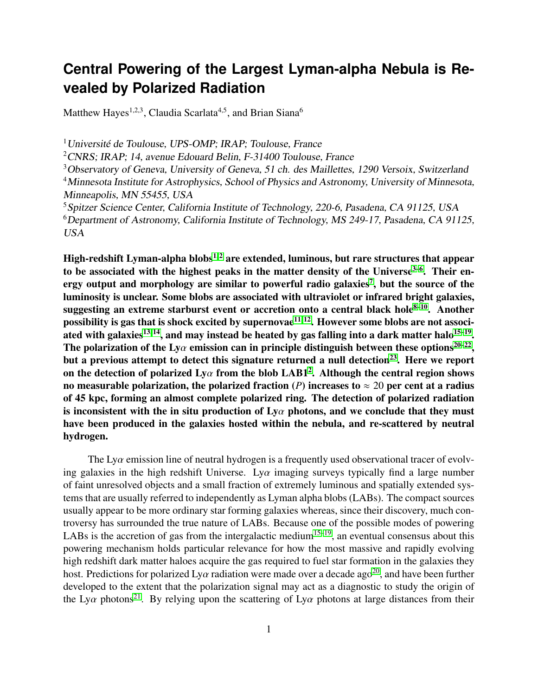## **Central Powering of the Largest Lyman-alpha Nebula is Revealed by Polarized Radiation**

Matthew Hayes<sup>1,2,3</sup>, Claudia Scarlata<sup>4,5</sup>, and Brian Siana<sup>6</sup>

 $1$ Université de Toulouse, UPS-OMP; IRAP; Toulouse, France

<sup>2</sup> CNRS; IRAP; 14, avenue Edouard Belin, F-31400 Toulouse, France

<sup>3</sup>Observatory of Geneva, University of Geneva, 51 ch. des Maillettes, 1290 Versoix, Switzerland <sup>4</sup>Minnesota Institute for Astrophysics, School of Physics and Astronomy, University of Minnesota, Minneapolis, MN 55455, USA

<sup>5</sup>Spitzer Science Center, California Institute of Technology, 220-6, Pasadena, CA 91125, USA  $6$ Department of Astronomy, California Institute of Technology, MS 249-17, Pasadena, CA 91125, USA

High-redshift Lyman-alpha blobs<sup>[1,](#page-4-0)2</sup> are extended, luminous, but rare structures that appear to be associated with the highest peaks in the matter density of the Universe<sup>[3](#page-6-0)[–6](#page-6-1)</sup>. Their en-ergy output and morphology are similar to powerful radio galaxies<sup>[7](#page-6-2)</sup>, but the source of the luminosity is unclear. Some blobs are associated with ultraviolet or infrared bright galaxies, suggesting an extreme starburst event or accretion onto a central black hole $8-10$  $8-10$ . Another possibility is gas that is shock excited by supernovae<sup>[11,](#page-6-5) [12](#page-6-6)</sup>. However some blobs are not associated with galaxies $^{13,14}$  $^{13,14}$  $^{13,14}$ , and may instead be heated by gas falling into a dark matter halo $^{15-19}$  $^{15-19}$  $^{15-19}$ . The polarization of the Ly $\alpha$  emission can in principle distinguish between these options<sup>[20–](#page-7-1)[22](#page-7-2)</sup>,<br>but a previous attempt to detect this signature returned a pull detection<sup>23</sup>. Here we report but a previous attempt to detect this signature returned a null detection<sup>[23](#page-7-3)</sup>. Here we report on the detection of polarized Ly $\alpha$  from the blob LAB1<sup>[2](#page-4-1)</sup>. Although the central region shows<br>no measurable polarization, the polarized fraction (P) increases to  $\approx$  20 per cent at a radius no measurable polarization, the polarized fraction  $(P)$  increases to  $\approx 20$  per cent at a radius of 45 kpc, forming an almost complete polarized ring. The detection of polarized radiation is inconsistent with the in situ production of  $Ly\alpha$  photons, and we conclude that they must have been produced in the galaxies hosted within the nebula, and re-scattered by neutral hydrogen.

The Ly $\alpha$  emission line of neutral hydrogen is a frequently used observational tracer of evolving galaxies in the high redshift Universe. Lya imaging surveys typically find a large number of faint unresolved objects and a small fraction of extremely luminous and spatially extended systems that are usually referred to independently as Lyman alpha blobs (LABs). The compact sources usually appear to be more ordinary star forming galaxies whereas, since their discovery, much controversy has surrounded the true nature of LABs. Because one of the possible modes of powering LABs is the accretion of gas from the intergalactic medium<sup>[15](#page-6-9)[–19](#page-7-0)</sup>, an eventual consensus about this powering mechanism holds particular relevance for how the most massive and rapidly evolving high redshift dark matter haloes acquire the gas required to fuel star formation in the galaxies they host. Predictions for polarized Ly $\alpha$  radiation were made over a decade ago<sup>[20](#page-7-1)</sup>, and have been further developed to the extent that the polarization signal may act as a diagnostic to study the origin of the Lya photons<sup>[21](#page-7-4)</sup>. By relying upon the scattering of Lya photons at large distances from their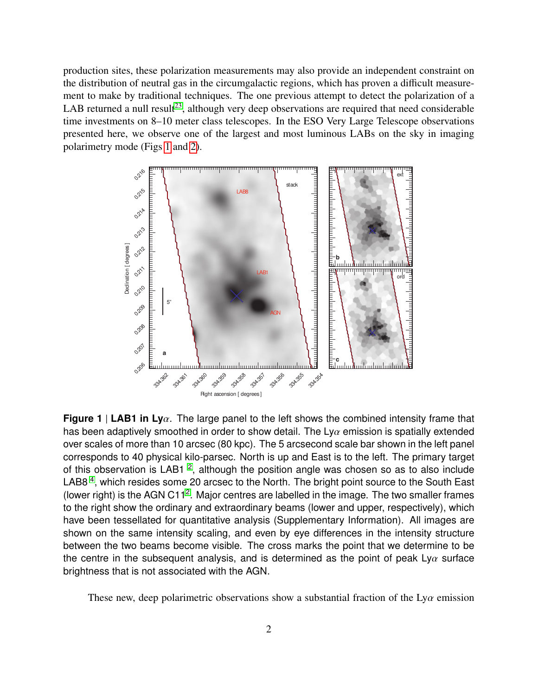production sites, these polarization measurements may also provide an independent constraint on the distribution of neutral gas in the circumgalactic regions, which has proven a difficult measurement to make by traditional techniques. The one previous attempt to detect the polarization of a LAB returned a null result<sup>[23](#page-7-3)</sup>, although very deep observations are required that need considerable time investments on 8–10 meter class telescopes. In the ESO Very Large Telescope observations presented here, we observe one of the largest and most luminous LABs on the sky in imaging polarimetry mode (Figs [1](#page-1-0) and [2\)](#page-3-0).

<span id="page-1-0"></span>

**Figure 1** <sup>|</sup> **LAB1 in Ly**α. The large panel to the left shows the combined intensity frame that has been adaptively smoothed in order to show detail. The Ly $\alpha$  emission is spatially extended over scales of more than 10 arcsec (80 kpc). The 5 arcsecond scale bar shown in the left panel corresponds to 40 physical kilo-parsec. North is up and East is to the left. The primary target of this observation is LAB1<sup>[2](#page-4-1)</sup>, although the position angle was chosen so as to also include LAB8<sup>[4](#page-6-10)</sup>, which resides some 20 arcsec to the North. The bright point source to the South East (lower right) is the AGN C11<sup>[2](#page-4-1)</sup>. Major centres are labelled in the image. The two smaller frames to the right show the ordinary and extraordinary beams (lower and upper, respectively), which have been tessellated for quantitative analysis (Supplementary Information). All images are shown on the same intensity scaling, and even by eye differences in the intensity structure between the two beams become visible. The cross marks the point that we determine to be the centre in the subsequent analysis, and is determined as the point of peak Ly $\alpha$  surface brightness that is not associated with the AGN.

These new, deep polarimetric observations show a substantial fraction of the  $Ly\alpha$  emission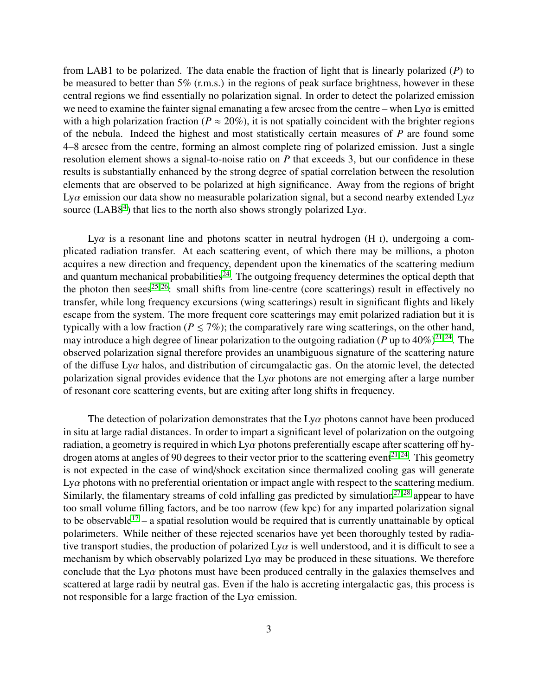from LAB1 to be polarized. The data enable the fraction of light that is linearly polarized (*P*) to be measured to better than  $5\%$  (r.m.s.) in the regions of peak surface brightness, however in these central regions we find essentially no polarization signal. In order to detect the polarized emission we need to examine the fainter signal emanating a few arcsec from the centre – when  $Ly\alpha$  is emitted with a high polarization fraction ( $P \approx 20\%$ ), it is not spatially coincident with the brighter regions of the nebula. Indeed the highest and most statistically certain measures of *P* are found some 4–8 arcsec from the centre, forming an almost complete ring of polarized emission. Just a single resolution element shows a signal-to-noise ratio on *P* that exceeds 3, but our confidence in these results is substantially enhanced by the strong degree of spatial correlation between the resolution elements that are observed to be polarized at high significance. Away from the regions of bright Ly $\alpha$  emission our data show no measurable polarization signal, but a second nearby extended Ly $\alpha$ source (LAB8<sup>[4](#page-6-10)</sup>) that lies to the north also shows strongly polarized Ly $\alpha$ .

 $Ly\alpha$  is a resonant line and photons scatter in neutral hydrogen (H I), undergoing a complicated radiation transfer. At each scattering event, of which there may be millions, a photon acquires a new direction and frequency, dependent upon the kinematics of the scattering medium and quantum mechanical probabilities<sup>[24](#page-7-5)</sup>. The outgoing frequency determines the optical depth that the photon then  $sees^{25,26}$  $sees^{25,26}$  $sees^{25,26}$ : small shifts from line-centre (core scatterings) result in effectively no transfer, while long frequency excursions (wing scatterings) result in significant flights and likely escape from the system. The more frequent core scatterings may emit polarized radiation but it is typically with a low fraction ( $P \le 7\%$ ); the comparatively rare wing scatterings, on the other hand, may introduce a high degree of linear polarization to the outgoing radiation (*P* up to  $40\%$ )<sup>[21,](#page-7-4)24</sup>. The observed polarization signal therefore provides an unambiguous signature of the scattering nature of the diffuse Ly $\alpha$  halos, and distribution of circumgalactic gas. On the atomic level, the detected polarization signal provides evidence that the  $Ly\alpha$  photons are not emerging after a large number of resonant core scattering events, but are exiting after long shifts in frequency.

The detection of polarization demonstrates that the  $Ly\alpha$  photons cannot have been produced in situ at large radial distances. In order to impart a significant level of polarization on the outgoing radiation, a geometry is required in which  $Ly\alpha$  photons preferentially escape after scattering off hy-drogen atoms at angles of 90 degrees to their vector prior to the scattering event<sup>[21,](#page-7-4)24</sup>. This geometry is not expected in the case of wind/shock excitation since thermalized cooling gas will generate  $Ly\alpha$  photons with no preferential orientation or impact angle with respect to the scattering medium. Similarly, the filamentary streams of cold infalling gas predicted by simulation<sup>[27,](#page-7-8)28</sup> appear to have too small volume filling factors, and be too narrow (few kpc) for any imparted polarization signal to be observable<sup>[17](#page-7-10)</sup> – a spatial resolution would be required that is currently unattainable by optical polarimeters. While neither of these rejected scenarios have yet been thoroughly tested by radiative transport studies, the production of polarized  $Ly\alpha$  is well understood, and it is difficult to see a mechanism by which observably polarized  $Ly\alpha$  may be produced in these situations. We therefore conclude that the  $Ly\alpha$  photons must have been produced centrally in the galaxies themselves and scattered at large radii by neutral gas. Even if the halo is accreting intergalactic gas, this process is not responsible for a large fraction of the  $Ly\alpha$  emission.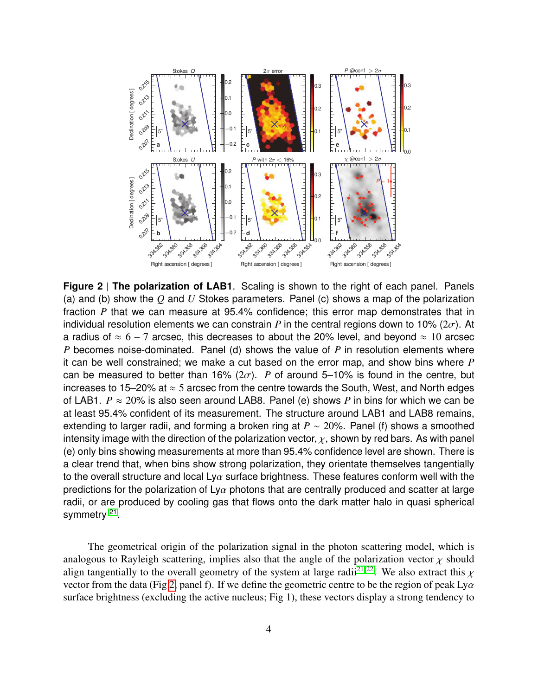<span id="page-3-0"></span>

**Figure 2** | **The polarization of LAB1**. Scaling is shown to the right of each panel. Panels (a) and (b) show the *Q* and *U* Stokes parameters. Panel (c) shows a map of the polarization fraction *P* that we can measure at 95.4% confidence; this error map demonstrates that in individual resolution elements we can constrain *P* in the central regions down to 10% ( $2\sigma$ ). At a radius of  $\approx 6 - 7$  arcsec, this decreases to about the 20% level, and beyond  $\approx 10$  arcsec *P* becomes noise-dominated. Panel (d) shows the value of *P* in resolution elements where it can be well constrained; we make a cut based on the error map, and show bins where *P* can be measured to better than 16%  $(2\sigma)$ . *P* of around 5–10% is found in the centre, but increases to 15–20% at  $\approx$  5 arcsec from the centre towards the South, West, and North edges of LAB1.  $P \approx 20\%$  is also seen around LAB8. Panel (e) shows P in bins for which we can be at least 95.4% confident of its measurement. The structure around LAB1 and LAB8 remains, extending to larger radii, and forming a broken ring at *P* ∼ 20%. Panel (f) shows a smoothed intensity image with the direction of the polarization vector,  $\chi$ , shown by red bars. As with panel (e) only bins showing measurements at more than 95.4% confidence level are shown. There is a clear trend that, when bins show strong polarization, they orientate themselves tangentially to the overall structure and local Ly $\alpha$  surface brightness. These features conform well with the predictions for the polarization of  $Ly\alpha$  photons that are centrally produced and scatter at large radii, or are produced by cooling gas that flows onto the dark matter halo in quasi spherical symmetry <sup>[21](#page-7-4)</sup>.

The geometrical origin of the polarization signal in the photon scattering model, which is analogous to Rayleigh scattering, implies also that the angle of the polarization vector  $\chi$  should align tangentially to the overall geometry of the system at large radii<sup>[21,](#page-7-4)22</sup>. We also extract this  $\chi$ vector from the data (Fig [2,](#page-3-0) panel f). If we define the geometric centre to be the region of peak  $Ly\alpha$ surface brightness (excluding the active nucleus; Fig 1), these vectors display a strong tendency to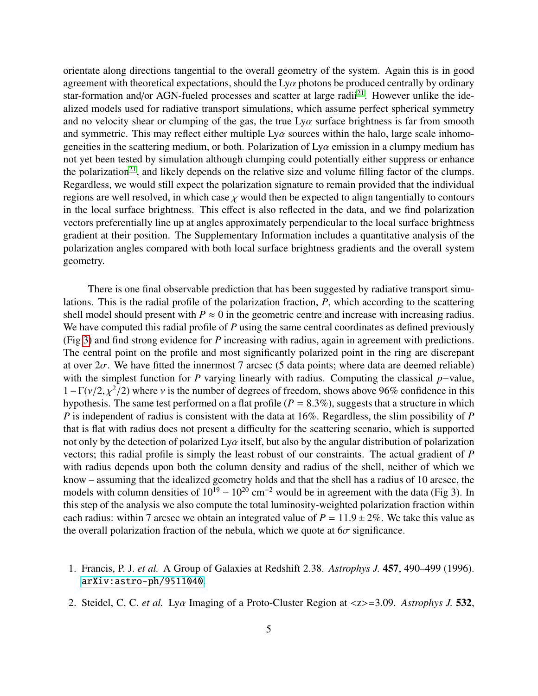orientate along directions tangential to the overall geometry of the system. Again this is in good agreement with theoretical expectations, should the  $Ly\alpha$  photons be produced centrally by ordinary star-formation and/or AGN-fueled processes and scatter at large radii<sup>[21](#page-7-4)</sup>. However unlike the idealized models used for radiative transport simulations, which assume perfect spherical symmetry and no velocity shear or clumping of the gas, the true  $Ly\alpha$  surface brightness is far from smooth and symmetric. This may reflect either multiple  $Ly\alpha$  sources within the halo, large scale inhomogeneities in the scattering medium, or both. Polarization of  $Ly\alpha$  emission in a clumpy medium has not yet been tested by simulation although clumping could potentially either suppress or enhance the polarization<sup>[21](#page-7-4)</sup>, and likely depends on the relative size and volume filling factor of the clumps. Regardless, we would still expect the polarization signature to remain provided that the individual regions are well resolved, in which case  $\chi$  would then be expected to align tangentially to contours in the local surface brightness. This effect is also reflected in the data, and we find polarization vectors preferentially line up at angles approximately perpendicular to the local surface brightness gradient at their position. The Supplementary Information includes a quantitative analysis of the polarization angles compared with both local surface brightness gradients and the overall system geometry.

There is one final observable prediction that has been suggested by radiative transport simulations. This is the radial profile of the polarization fraction, *P*, which according to the scattering shell model should present with  $P \approx 0$  in the geometric centre and increase with increasing radius. We have computed this radial profile of *P* using the same central coordinates as defined previously (Fig [3\)](#page-5-0) and find strong evidence for *P* increasing with radius, again in agreement with predictions. The central point on the profile and most significantly polarized point in the ring are discrepant at over  $2\sigma$ . We have fitted the innermost 7 arcsec (5 data points; where data are deemed reliable) with the simplest function for *P* varying linearly with radius. Computing the classical *p*−value,  $1 - \Gamma(\nu/2, \chi^2/2)$  where  $\nu$  is the number of degrees of freedom, shows above 96% confidence in this hypothesis. The same test performed on a flat profile  $(P - 8.3\%)$  suggests that a structure in which hypothesis. The same test performed on a flat profile ( $P = 8.3\%$ ), suggests that a structure in which *P* is independent of radius is consistent with the data at 16%. Regardless, the slim possibility of *P* that is flat with radius does not present a difficulty for the scattering scenario, which is supported not only by the detection of polarized Ly $\alpha$  itself, but also by the angular distribution of polarization vectors; this radial profile is simply the least robust of our constraints. The actual gradient of *P* with radius depends upon both the column density and radius of the shell, neither of which we know – assuming that the idealized geometry holds and that the shell has a radius of 10 arcsec, the models with column densities of  $10^{19} - 10^{20}$  cm<sup>-2</sup> would be in agreement with the data (Fig 3). In this step of the analysis we also compute the total luminosity-weighted polarization fraction within each radius: within 7 arcsec we obtain an integrated value of  $P = 11.9 \pm 2\%$ . We take this value as the overall polarization fraction of the nebula, which we quote at  $6\sigma$  significance.

## <span id="page-4-0"></span>1. Francis, P. J. *et al.* A Group of Galaxies at Redshift 2.38. *Astrophys J.* 457, 490–499 (1996). <arXiv:astro-ph/9511040>.

<span id="page-4-1"></span>2. Steidel, C. C. *et al.* Lyα Imaging of a Proto-Cluster Region at <z>=3.09. *Astrophys J.* <sup>532</sup>,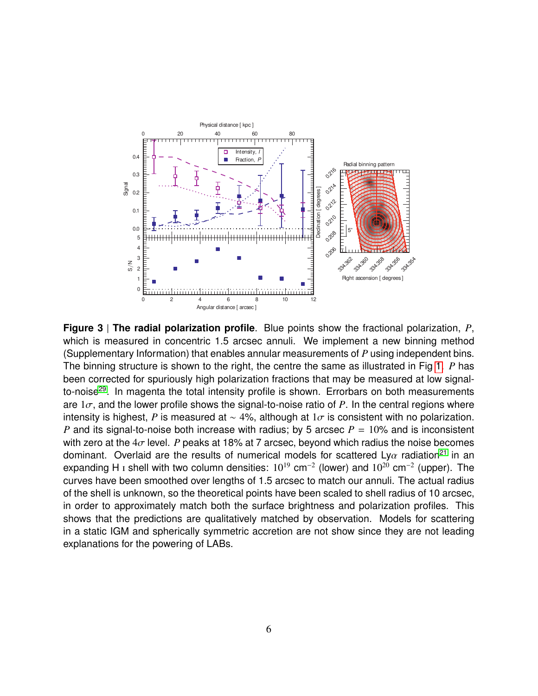<span id="page-5-0"></span>

**Figure 3** | **The radial polarization profile**. Blue points show the fractional polarization, *P*, which is measured in concentric 1.5 arcsec annuli. We implement a new binning method (Supplementary Information) that enables annular measurements of *P* using independent bins. The binning structure is shown to the right, the centre the same as illustrated in Fig [1.](#page-1-0) *P* has been corrected for spuriously high polarization fractions that may be measured at low signal-to-noise<sup>[29](#page-7-11)</sup>. In magenta the total intensity profile is shown. Errorbars on both measurements are  $1\sigma$ , and the lower profile shows the signal-to-noise ratio of P. In the central regions where intensity is highest, *P* is measured at  $\sim$  4%, although at 1 $\sigma$  is consistent with no polarization. *P* and its signal-to-noise both increase with radius; by 5 arcsec  $P = 10\%$  and is inconsistent with zero at the  $4\sigma$  level. *P* peaks at 18% at 7 arcsec, beyond which radius the noise becomes dominant. Overlaid are the results of numerical models for scattered Ly $\alpha$  radiation<sup>[21](#page-7-4)</sup> in an expanding H i shell with two column densities:  $10^{19}$  cm<sup>-2</sup> (lower) and  $10^{20}$  cm<sup>-2</sup> (upper). The curves have been smoothed over lengths of 1.5 arcsec to match our annuli. The actual radius of the shell is unknown, so the theoretical points have been scaled to shell radius of 10 arcsec, in order to approximately match both the surface brightness and polarization profiles. This shows that the predictions are qualitatively matched by observation. Models for scattering in a static IGM and spherically symmetric accretion are not show since they are not leading explanations for the powering of LABs.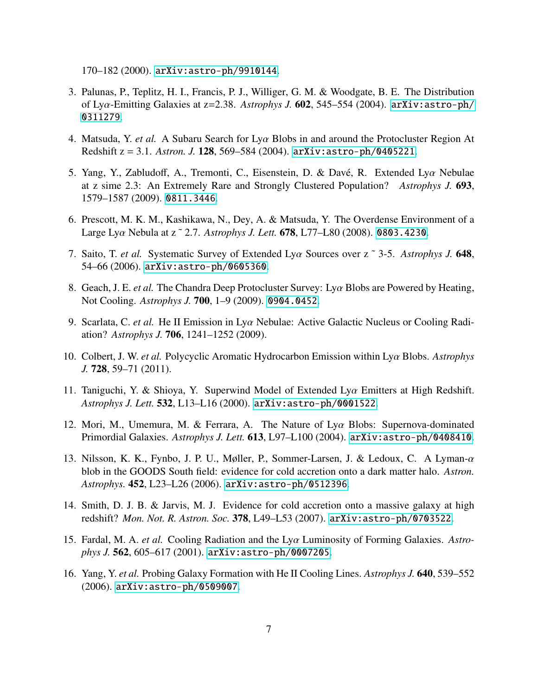170–182 (2000). <arXiv:astro-ph/9910144>.

- <span id="page-6-0"></span>3. Palunas, P., Teplitz, H. I., Francis, P. J., Williger, G. M. & Woodgate, B. E. The Distribution of Lyα-Emitting Galaxies at z=2.38. *Astrophys J.* <sup>602</sup>, 545–554 (2004). [arXiv:astro-ph/](arXiv:astro-ph/0311279) [0311279](arXiv:astro-ph/0311279).
- <span id="page-6-10"></span>4. Matsuda, Y. *et al.* A Subaru Search for Lyα Blobs in and around the Protocluster Region At Redshift z = 3.1. *Astron. J.* 128, 569–584 (2004). <arXiv:astro-ph/0405221>.
- 5. Yang, Y., Zabludoff, A., Tremonti, C., Eisenstein, D. & Davé, R. Extended Ly $\alpha$  Nebulae at z sime 2.3: An Extremely Rare and Strongly Clustered Population? *Astrophys J.* 693, 1579–1587 (2009). <0811.3446>.
- <span id="page-6-1"></span>6. Prescott, M. K. M., Kashikawa, N., Dey, A. & Matsuda, Y. The Overdense Environment of a Large Lyα Nebula at z ˜ 2.7. *Astrophys J. Lett.* <sup>678</sup>, L77–L80 (2008). <0803.4230>.
- <span id="page-6-2"></span>7. Saito, T. *et al.* Systematic Survey of Extended Lyα Sources over z ˜ 3-5. *Astrophys J.* <sup>648</sup>, 54–66 (2006). <arXiv:astro-ph/0605360>.
- <span id="page-6-3"></span>8. Geach, J. E. *et al.* The Chandra Deep Protocluster Survey: Lyα Blobs are Powered by Heating, Not Cooling. *Astrophys J.* 700, 1–9 (2009). <0904.0452>.
- 9. Scarlata, C. *et al.* He II Emission in Lyα Nebulae: Active Galactic Nucleus or Cooling Radiation? *Astrophys J.* 706, 1241–1252 (2009).
- <span id="page-6-4"></span>10. Colbert, J. W. *et al.* Polycyclic Aromatic Hydrocarbon Emission within Lyα Blobs. *Astrophys J.* 728, 59–71 (2011).
- <span id="page-6-5"></span>11. Taniguchi, Y. & Shioya, Y. Superwind Model of Extended Lyα Emitters at High Redshift. *Astrophys J. Lett.* 532, L13–L16 (2000). <arXiv:astro-ph/0001522>.
- <span id="page-6-6"></span>12. Mori, M., Umemura, M. & Ferrara, A. The Nature of  $Ly\alpha$  Blobs: Supernova-dominated Primordial Galaxies. *Astrophys J. Lett.* 613, L97–L100 (2004). <arXiv:astro-ph/0408410>.
- <span id="page-6-7"></span>13. Nilsson, K. K., Fynbo, J. P. U., Møller, P., Sommer-Larsen, J. & Ledoux, C. A Lyman-α blob in the GOODS South field: evidence for cold accretion onto a dark matter halo. *Astron. Astrophys.* 452, L23–L26 (2006). <arXiv:astro-ph/0512396>.
- <span id="page-6-8"></span>14. Smith, D. J. B. & Jarvis, M. J. Evidence for cold accretion onto a massive galaxy at high redshift? *Mon. Not. R. Astron. Soc.* 378, L49–L53 (2007). <arXiv:astro-ph/0703522>.
- <span id="page-6-9"></span>15. Fardal, M. A. *et al.* Cooling Radiation and the Lyα Luminosity of Forming Galaxies. *Astrophys J.* 562, 605–617 (2001). <arXiv:astro-ph/0007205>.
- 16. Yang, Y. *et al.* Probing Galaxy Formation with He II Cooling Lines. *Astrophys J.* 640, 539–552 (2006). <arXiv:astro-ph/0509007>.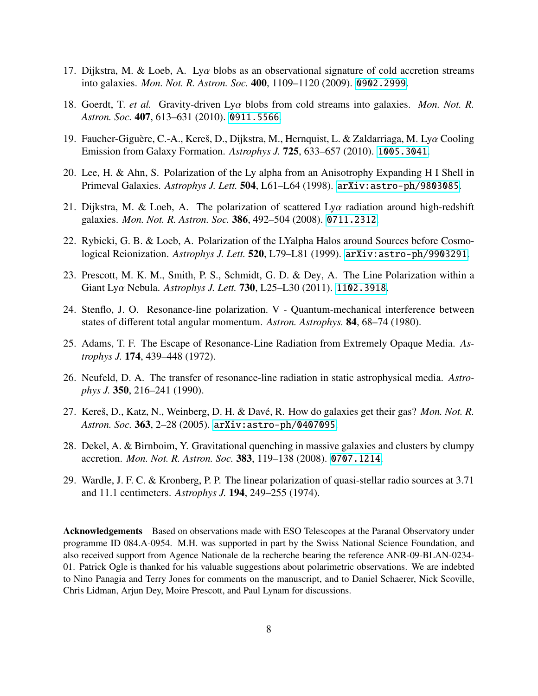- <span id="page-7-10"></span>17. Dijkstra, M. & Loeb, A. Ly $\alpha$  blobs as an observational signature of cold accretion streams into galaxies. *Mon. Not. R. Astron. Soc.* 400, 1109–1120 (2009). <0902.2999>.
- 18. Goerdt, T. *et al.* Gravity-driven Lyα blobs from cold streams into galaxies. *Mon. Not. R. Astron. Soc.* 407, 613–631 (2010). <0911.5566>.
- <span id="page-7-0"></span>19. Faucher-Giguère, C.-A., Kereš, D., Dijkstra, M., Hernquist, L. & Zaldarriaga, M. Lyα Cooling Emission from Galaxy Formation. *Astrophys J.* 725, 633–657 (2010). <1005.3041>.
- <span id="page-7-1"></span>20. Lee, H. & Ahn, S. Polarization of the Ly alpha from an Anisotrophy Expanding H I Shell in Primeval Galaxies. *Astrophys J. Lett.* 504, L61–L64 (1998). <arXiv:astro-ph/9803085>.
- <span id="page-7-4"></span>21. Dijkstra, M. & Loeb, A. The polarization of scattered Ly $\alpha$  radiation around high-redshift galaxies. *Mon. Not. R. Astron. Soc.* 386, 492–504 (2008). <0711.2312>.
- <span id="page-7-2"></span>22. Rybicki, G. B. & Loeb, A. Polarization of the LYalpha Halos around Sources before Cosmological Reionization. *Astrophys J. Lett.* 520, L79–L81 (1999). <arXiv:astro-ph/9903291>.
- <span id="page-7-3"></span>23. Prescott, M. K. M., Smith, P. S., Schmidt, G. D. & Dey, A. The Line Polarization within a Giant Lyα Nebula. *Astrophys J. Lett.* <sup>730</sup>, L25–L30 (2011). <1102.3918>.
- <span id="page-7-5"></span>24. Stenflo, J. O. Resonance-line polarization. V - Quantum-mechanical interference between states of different total angular momentum. *Astron. Astrophys.* 84, 68–74 (1980).
- <span id="page-7-6"></span>25. Adams, T. F. The Escape of Resonance-Line Radiation from Extremely Opaque Media. *Astrophys J.* 174, 439–448 (1972).
- <span id="page-7-7"></span>26. Neufeld, D. A. The transfer of resonance-line radiation in static astrophysical media. *Astrophys J.* 350, 216–241 (1990).
- <span id="page-7-8"></span>27. Kereš, D., Katz, N., Weinberg, D. H. & Davé, R. How do galaxies get their gas? *Mon. Not. R. Astron. Soc.* 363, 2–28 (2005). <arXiv:astro-ph/0407095>.
- <span id="page-7-9"></span>28. Dekel, A. & Birnboim, Y. Gravitational quenching in massive galaxies and clusters by clumpy accretion. *Mon. Not. R. Astron. Soc.* 383, 119–138 (2008). <0707.1214>.
- <span id="page-7-11"></span>29. Wardle, J. F. C. & Kronberg, P. P. The linear polarization of quasi-stellar radio sources at 3.71 and 11.1 centimeters. *Astrophys J.* 194, 249–255 (1974).

Acknowledgements Based on observations made with ESO Telescopes at the Paranal Observatory under programme ID 084.A-0954. M.H. was supported in part by the Swiss National Science Foundation, and also received support from Agence Nationale de la recherche bearing the reference ANR-09-BLAN-0234- 01. Patrick Ogle is thanked for his valuable suggestions about polarimetric observations. We are indebted to Nino Panagia and Terry Jones for comments on the manuscript, and to Daniel Schaerer, Nick Scoville, Chris Lidman, Arjun Dey, Moire Prescott, and Paul Lynam for discussions.